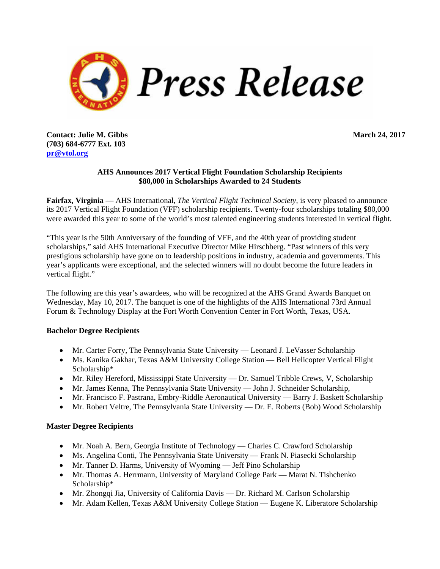

**Contact: Julie M. Gibbs March 24, 2017 (703) 684-6777 Ext. 103 pr@vtol.org**

## **AHS Announces 2017 Vertical Flight Foundation Scholarship Recipients \$80,000 in Scholarships Awarded to 24 Students**

**Fairfax, Virginia** — AHS International, *The Vertical Flight Technical Society,* is very pleased to announce its 2017 Vertical Flight Foundation (VFF) scholarship recipients. Twenty-four scholarships totaling \$80,000 were awarded this year to some of the world's most talented engineering students interested in vertical flight.

"This year is the 50th Anniversary of the founding of VFF, and the 40th year of providing student scholarships," said AHS International Executive Director Mike Hirschberg. "Past winners of this very prestigious scholarship have gone on to leadership positions in industry, academia and governments. This year's applicants were exceptional, and the selected winners will no doubt become the future leaders in vertical flight."

The following are this year's awardees, who will be recognized at the AHS Grand Awards Banquet on Wednesday, May 10, 2017. The banquet is one of the highlights of the AHS International 73rd Annual Forum & Technology Display at the Fort Worth Convention Center in Fort Worth, Texas, USA.

### **Bachelor Degree Recipients**

- Mr. Carter Forry, The Pennsylvania State University Leonard J. LeVasser Scholarship
- Ms. Kanika Gakhar, Texas A&M University College Station Bell Helicopter Vertical Flight Scholarship\*
- Mr. Riley Hereford, Mississippi State University Dr. Samuel Tribble Crews, V, Scholarship
- Mr. James Kenna, The Pennsylvania State University John J. Schneider Scholarship,
- Mr. Francisco F. Pastrana, Embry-Riddle Aeronautical University Barry J. Baskett Scholarship
- Mr. Robert Veltre, The Pennsylvania State University Dr. E. Roberts (Bob) Wood Scholarship

### **Master Degree Recipients**

- Mr. Noah A. Bern, Georgia Institute of Technology Charles C. Crawford Scholarship
- Ms. Angelina Conti, The Pennsylvania State University Frank N. Piasecki Scholarship
- Mr. Tanner D. Harms, University of Wyoming Jeff Pino Scholarship
- Mr. Thomas A. Herrmann, University of Maryland College Park Marat N. Tishchenko Scholarship\*
- Mr. Zhongqi Jia, University of California Davis Dr. Richard M. Carlson Scholarship
- Mr. Adam Kellen, Texas A&M University College Station Eugene K. Liberatore Scholarship